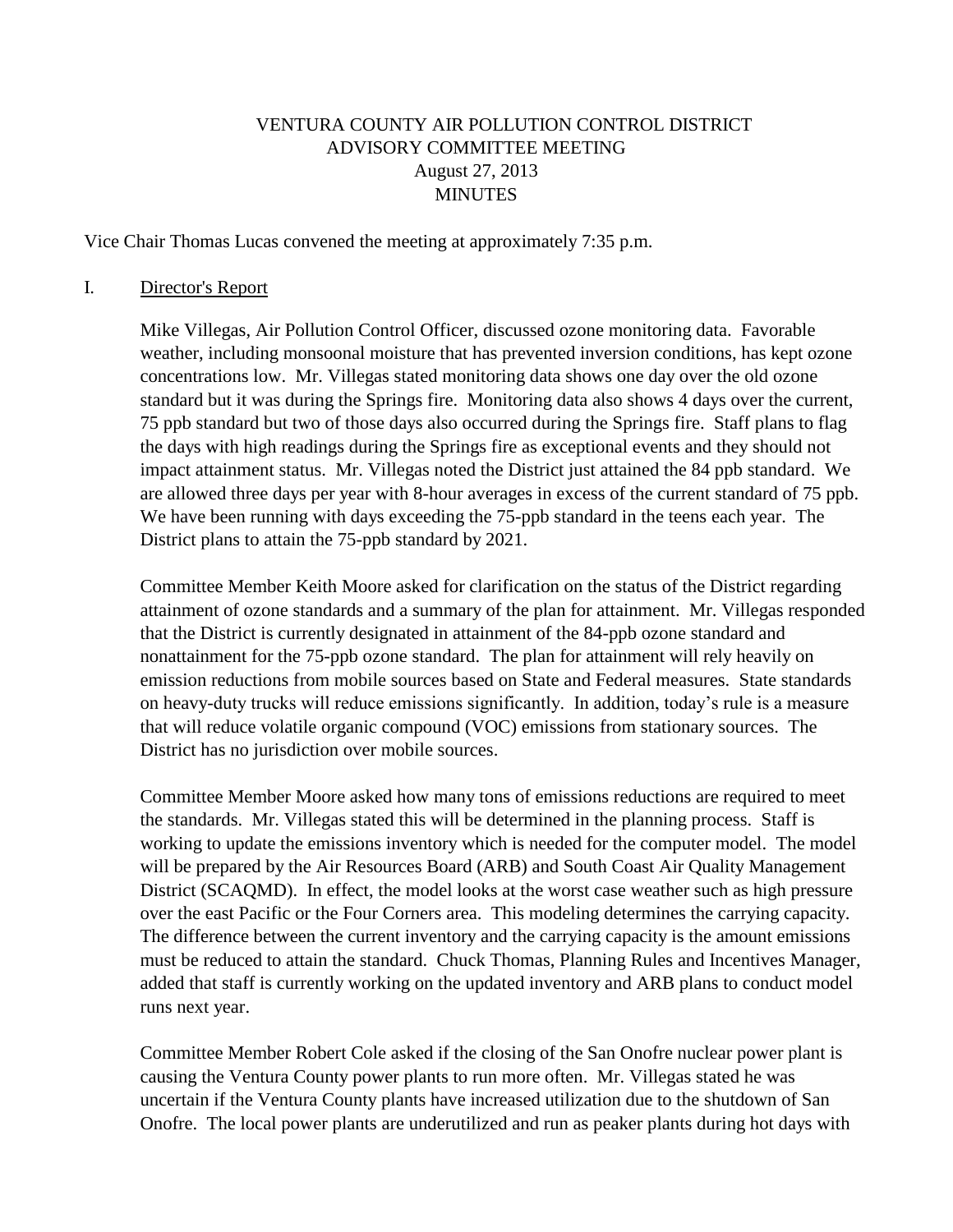# VENTURA COUNTY AIR POLLUTION CONTROL DISTRICT ADVISORY COMMITTEE MEETING August 27, 2013 MINUTES

Vice Chair Thomas Lucas convened the meeting at approximately 7:35 p.m.

#### I. Director's Report

Mike Villegas, Air Pollution Control Officer, discussed ozone monitoring data. Favorable weather, including monsoonal moisture that has prevented inversion conditions, has kept ozone concentrations low. Mr. Villegas stated monitoring data shows one day over the old ozone standard but it was during the Springs fire. Monitoring data also shows 4 days over the current, 75 ppb standard but two of those days also occurred during the Springs fire. Staff plans to flag the days with high readings during the Springs fire as exceptional events and they should not impact attainment status. Mr. Villegas noted the District just attained the 84 ppb standard. We are allowed three days per year with 8-hour averages in excess of the current standard of 75 ppb. We have been running with days exceeding the 75-ppb standard in the teens each year. The District plans to attain the 75-ppb standard by 2021.

Committee Member Keith Moore asked for clarification on the status of the District regarding attainment of ozone standards and a summary of the plan for attainment. Mr. Villegas responded that the District is currently designated in attainment of the 84-ppb ozone standard and nonattainment for the 75-ppb ozone standard. The plan for attainment will rely heavily on emission reductions from mobile sources based on State and Federal measures. State standards on heavy-duty trucks will reduce emissions significantly. In addition, today's rule is a measure that will reduce volatile organic compound (VOC) emissions from stationary sources. The District has no jurisdiction over mobile sources.

Committee Member Moore asked how many tons of emissions reductions are required to meet the standards. Mr. Villegas stated this will be determined in the planning process. Staff is working to update the emissions inventory which is needed for the computer model. The model will be prepared by the Air Resources Board (ARB) and South Coast Air Quality Management District (SCAQMD). In effect, the model looks at the worst case weather such as high pressure over the east Pacific or the Four Corners area. This modeling determines the carrying capacity. The difference between the current inventory and the carrying capacity is the amount emissions must be reduced to attain the standard. Chuck Thomas, Planning Rules and Incentives Manager, added that staff is currently working on the updated inventory and ARB plans to conduct model runs next year.

Committee Member Robert Cole asked if the closing of the San Onofre nuclear power plant is causing the Ventura County power plants to run more often. Mr. Villegas stated he was uncertain if the Ventura County plants have increased utilization due to the shutdown of San Onofre. The local power plants are underutilized and run as peaker plants during hot days with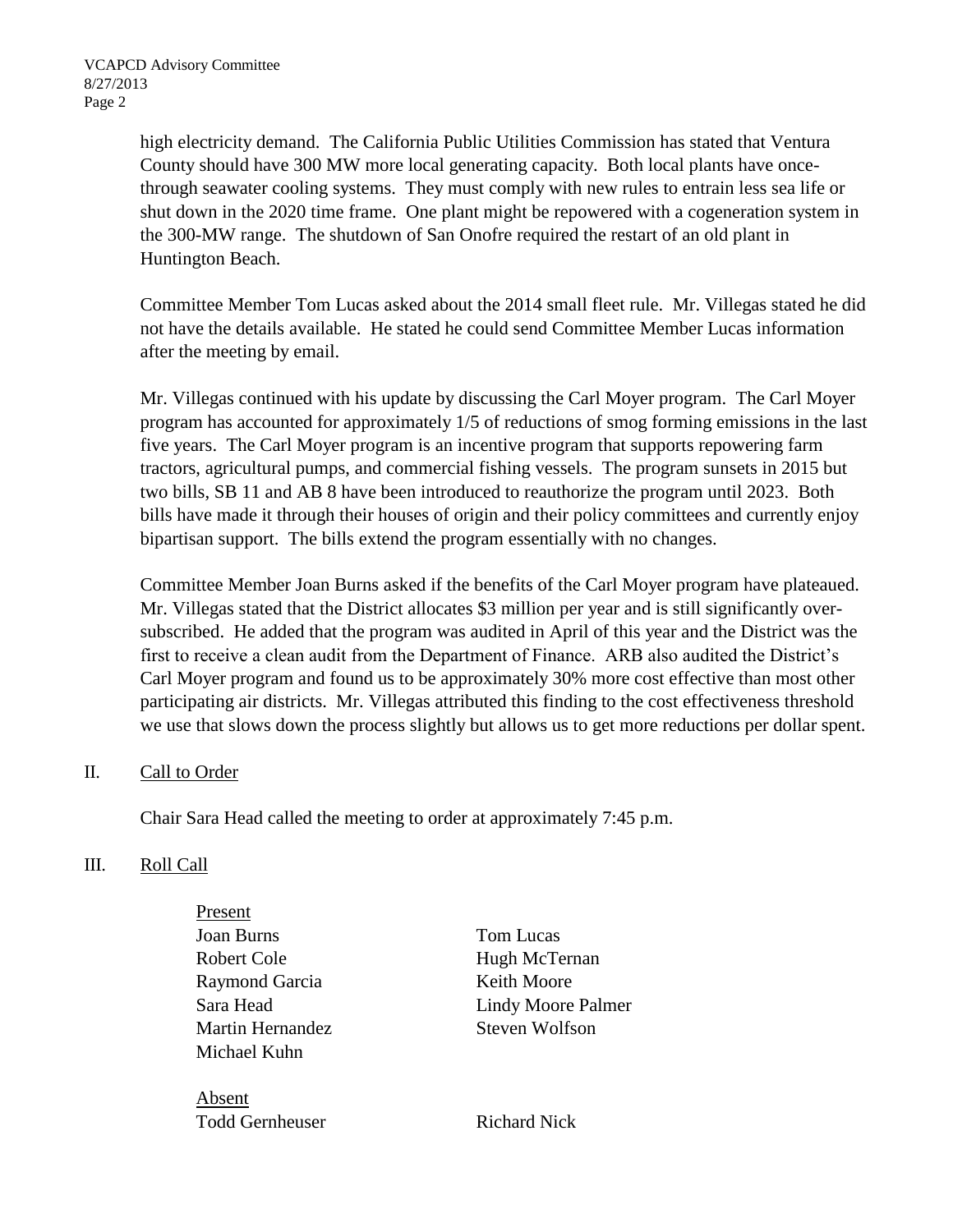high electricity demand. The California Public Utilities Commission has stated that Ventura County should have 300 MW more local generating capacity. Both local plants have oncethrough seawater cooling systems. They must comply with new rules to entrain less sea life or shut down in the 2020 time frame. One plant might be repowered with a cogeneration system in the 300-MW range. The shutdown of San Onofre required the restart of an old plant in Huntington Beach.

Committee Member Tom Lucas asked about the 2014 small fleet rule. Mr. Villegas stated he did not have the details available. He stated he could send Committee Member Lucas information after the meeting by email.

Mr. Villegas continued with his update by discussing the Carl Moyer program. The Carl Moyer program has accounted for approximately 1/5 of reductions of smog forming emissions in the last five years. The Carl Moyer program is an incentive program that supports repowering farm tractors, agricultural pumps, and commercial fishing vessels. The program sunsets in 2015 but two bills, SB 11 and AB 8 have been introduced to reauthorize the program until 2023. Both bills have made it through their houses of origin and their policy committees and currently enjoy bipartisan support. The bills extend the program essentially with no changes.

Committee Member Joan Burns asked if the benefits of the Carl Moyer program have plateaued. Mr. Villegas stated that the District allocates \$3 million per year and is still significantly oversubscribed. He added that the program was audited in April of this year and the District was the first to receive a clean audit from the Department of Finance. ARB also audited the District's Carl Moyer program and found us to be approximately 30% more cost effective than most other participating air districts. Mr. Villegas attributed this finding to the cost effectiveness threshold we use that slows down the process slightly but allows us to get more reductions per dollar spent.

## II. Call to Order

Chair Sara Head called the meeting to order at approximately 7:45 p.m.

## III. Roll Call

Present Joan Burns Tom Lucas Robert Cole Hugh McTernan Raymond Garcia Keith Moore Martin Hernandez Steven Wolfson Michael Kuhn

Absent Todd Gernheuser Richard Nick

Sara Head Lindy Moore Palmer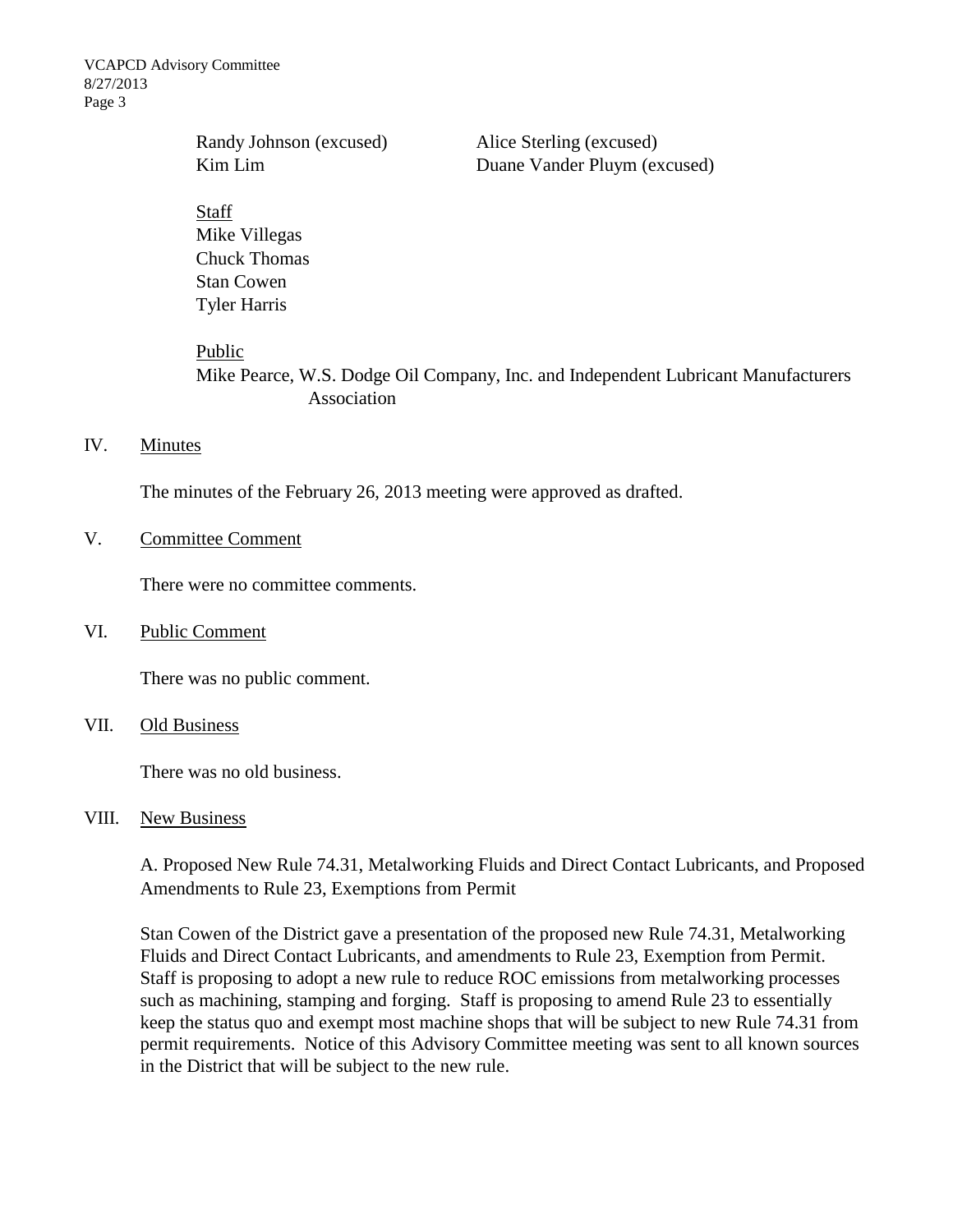VCAPCD Advisory Committee 8/27/2013 Page 3

> Randy Johnson (excused) Alice Sterling (excused) Kim Lim Duane Vander Pluym (excused)

#### Staff

Mike Villegas Chuck Thomas Stan Cowen Tyler Harris

#### Public

Mike Pearce, W.S. Dodge Oil Company, Inc. and Independent Lubricant Manufacturers Association

### IV. Minutes

The minutes of the February 26, 2013 meeting were approved as drafted.

V. Committee Comment

There were no committee comments.

VI. Public Comment

There was no public comment.

VII. Old Business

There was no old business.

### VIII. New Business

A. Proposed New Rule 74.31, Metalworking Fluids and Direct Contact Lubricants, and Proposed Amendments to Rule 23, Exemptions from Permit

Stan Cowen of the District gave a presentation of the proposed new Rule 74.31, Metalworking Fluids and Direct Contact Lubricants, and amendments to Rule 23, Exemption from Permit. Staff is proposing to adopt a new rule to reduce ROC emissions from metalworking processes such as machining, stamping and forging. Staff is proposing to amend Rule 23 to essentially keep the status quo and exempt most machine shops that will be subject to new Rule 74.31 from permit requirements. Notice of this Advisory Committee meeting was sent to all known sources in the District that will be subject to the new rule.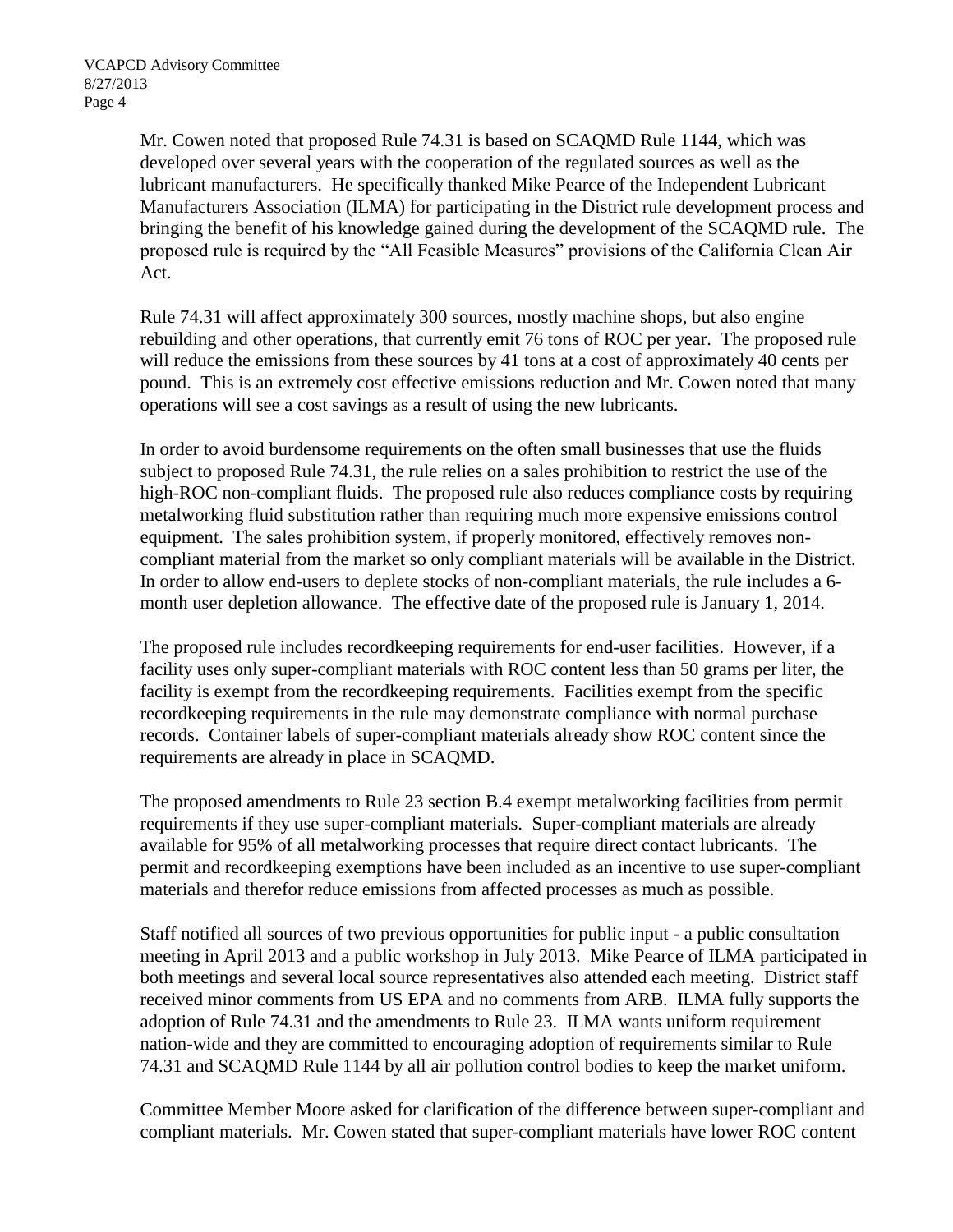Mr. Cowen noted that proposed Rule 74.31 is based on SCAQMD Rule 1144, which was developed over several years with the cooperation of the regulated sources as well as the lubricant manufacturers. He specifically thanked Mike Pearce of the Independent Lubricant Manufacturers Association (ILMA) for participating in the District rule development process and bringing the benefit of his knowledge gained during the development of the SCAQMD rule. The proposed rule is required by the "All Feasible Measures" provisions of the California Clean Air Act.

Rule 74.31 will affect approximately 300 sources, mostly machine shops, but also engine rebuilding and other operations, that currently emit 76 tons of ROC per year. The proposed rule will reduce the emissions from these sources by 41 tons at a cost of approximately 40 cents per pound. This is an extremely cost effective emissions reduction and Mr. Cowen noted that many operations will see a cost savings as a result of using the new lubricants.

In order to avoid burdensome requirements on the often small businesses that use the fluids subject to proposed Rule 74.31, the rule relies on a sales prohibition to restrict the use of the high-ROC non-compliant fluids. The proposed rule also reduces compliance costs by requiring metalworking fluid substitution rather than requiring much more expensive emissions control equipment. The sales prohibition system, if properly monitored, effectively removes noncompliant material from the market so only compliant materials will be available in the District. In order to allow end-users to deplete stocks of non-compliant materials, the rule includes a 6 month user depletion allowance. The effective date of the proposed rule is January 1, 2014.

The proposed rule includes recordkeeping requirements for end-user facilities. However, if a facility uses only super-compliant materials with ROC content less than 50 grams per liter, the facility is exempt from the recordkeeping requirements. Facilities exempt from the specific recordkeeping requirements in the rule may demonstrate compliance with normal purchase records. Container labels of super-compliant materials already show ROC content since the requirements are already in place in SCAQMD.

The proposed amendments to Rule 23 section B.4 exempt metalworking facilities from permit requirements if they use super-compliant materials. Super-compliant materials are already available for 95% of all metalworking processes that require direct contact lubricants. The permit and recordkeeping exemptions have been included as an incentive to use super-compliant materials and therefor reduce emissions from affected processes as much as possible.

Staff notified all sources of two previous opportunities for public input - a public consultation meeting in April 2013 and a public workshop in July 2013. Mike Pearce of ILMA participated in both meetings and several local source representatives also attended each meeting. District staff received minor comments from US EPA and no comments from ARB. ILMA fully supports the adoption of Rule 74.31 and the amendments to Rule 23. ILMA wants uniform requirement nation-wide and they are committed to encouraging adoption of requirements similar to Rule 74.31 and SCAQMD Rule 1144 by all air pollution control bodies to keep the market uniform.

Committee Member Moore asked for clarification of the difference between super-compliant and compliant materials. Mr. Cowen stated that super-compliant materials have lower ROC content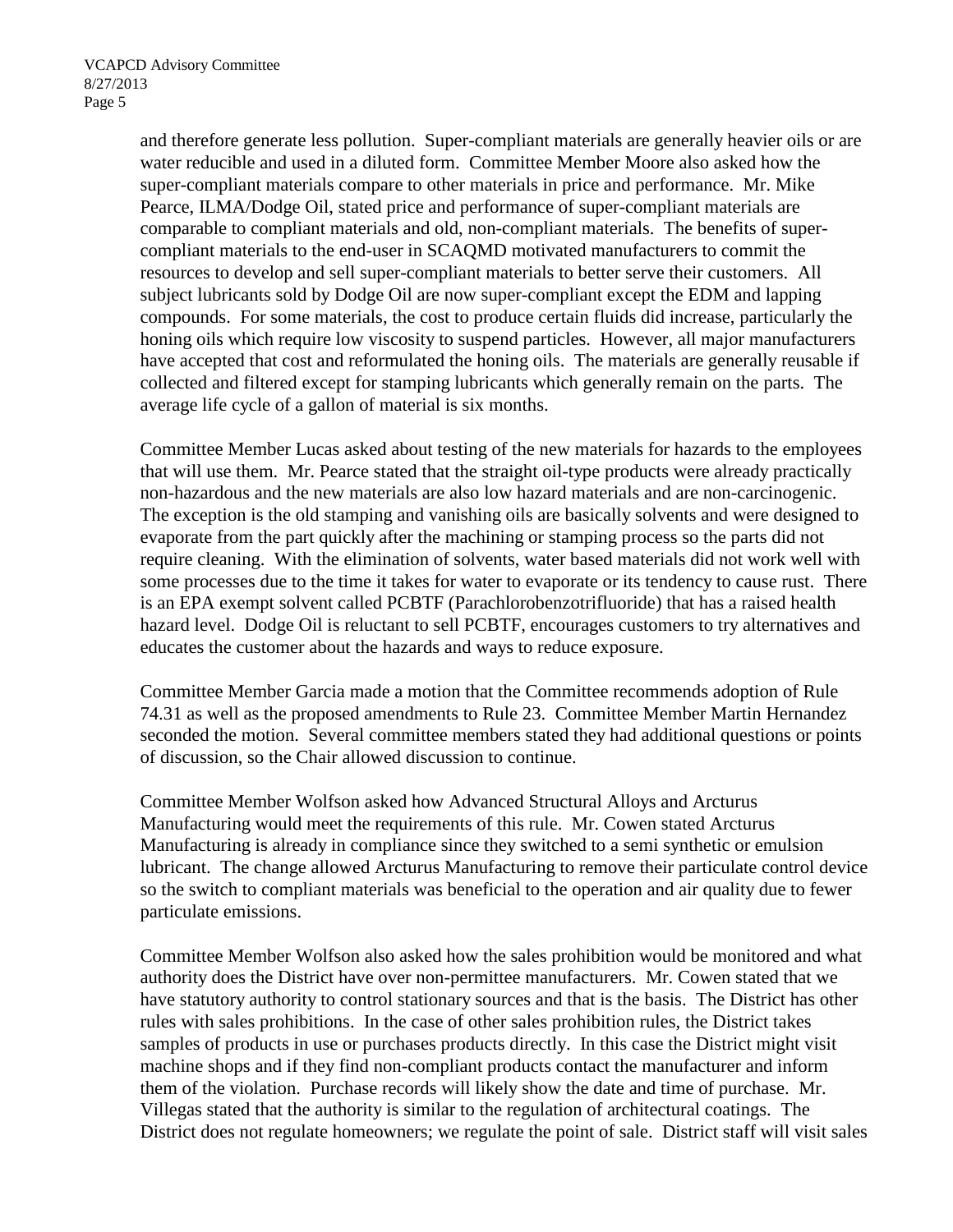and therefore generate less pollution. Super-compliant materials are generally heavier oils or are water reducible and used in a diluted form. Committee Member Moore also asked how the super-compliant materials compare to other materials in price and performance. Mr. Mike Pearce, ILMA/Dodge Oil, stated price and performance of super-compliant materials are comparable to compliant materials and old, non-compliant materials. The benefits of supercompliant materials to the end-user in SCAQMD motivated manufacturers to commit the resources to develop and sell super-compliant materials to better serve their customers. All subject lubricants sold by Dodge Oil are now super-compliant except the EDM and lapping compounds. For some materials, the cost to produce certain fluids did increase, particularly the honing oils which require low viscosity to suspend particles. However, all major manufacturers have accepted that cost and reformulated the honing oils. The materials are generally reusable if collected and filtered except for stamping lubricants which generally remain on the parts. The average life cycle of a gallon of material is six months.

Committee Member Lucas asked about testing of the new materials for hazards to the employees that will use them. Mr. Pearce stated that the straight oil-type products were already practically non-hazardous and the new materials are also low hazard materials and are non-carcinogenic. The exception is the old stamping and vanishing oils are basically solvents and were designed to evaporate from the part quickly after the machining or stamping process so the parts did not require cleaning. With the elimination of solvents, water based materials did not work well with some processes due to the time it takes for water to evaporate or its tendency to cause rust. There is an EPA exempt solvent called PCBTF (Parachlorobenzotrifluoride) that has a raised health hazard level. Dodge Oil is reluctant to sell PCBTF, encourages customers to try alternatives and educates the customer about the hazards and ways to reduce exposure.

Committee Member Garcia made a motion that the Committee recommends adoption of Rule 74.31 as well as the proposed amendments to Rule 23. Committee Member Martin Hernandez seconded the motion. Several committee members stated they had additional questions or points of discussion, so the Chair allowed discussion to continue.

Committee Member Wolfson asked how Advanced Structural Alloys and Arcturus Manufacturing would meet the requirements of this rule. Mr. Cowen stated Arcturus Manufacturing is already in compliance since they switched to a semi synthetic or emulsion lubricant. The change allowed Arcturus Manufacturing to remove their particulate control device so the switch to compliant materials was beneficial to the operation and air quality due to fewer particulate emissions.

Committee Member Wolfson also asked how the sales prohibition would be monitored and what authority does the District have over non-permittee manufacturers. Mr. Cowen stated that we have statutory authority to control stationary sources and that is the basis. The District has other rules with sales prohibitions. In the case of other sales prohibition rules, the District takes samples of products in use or purchases products directly. In this case the District might visit machine shops and if they find non-compliant products contact the manufacturer and inform them of the violation. Purchase records will likely show the date and time of purchase. Mr. Villegas stated that the authority is similar to the regulation of architectural coatings. The District does not regulate homeowners; we regulate the point of sale. District staff will visit sales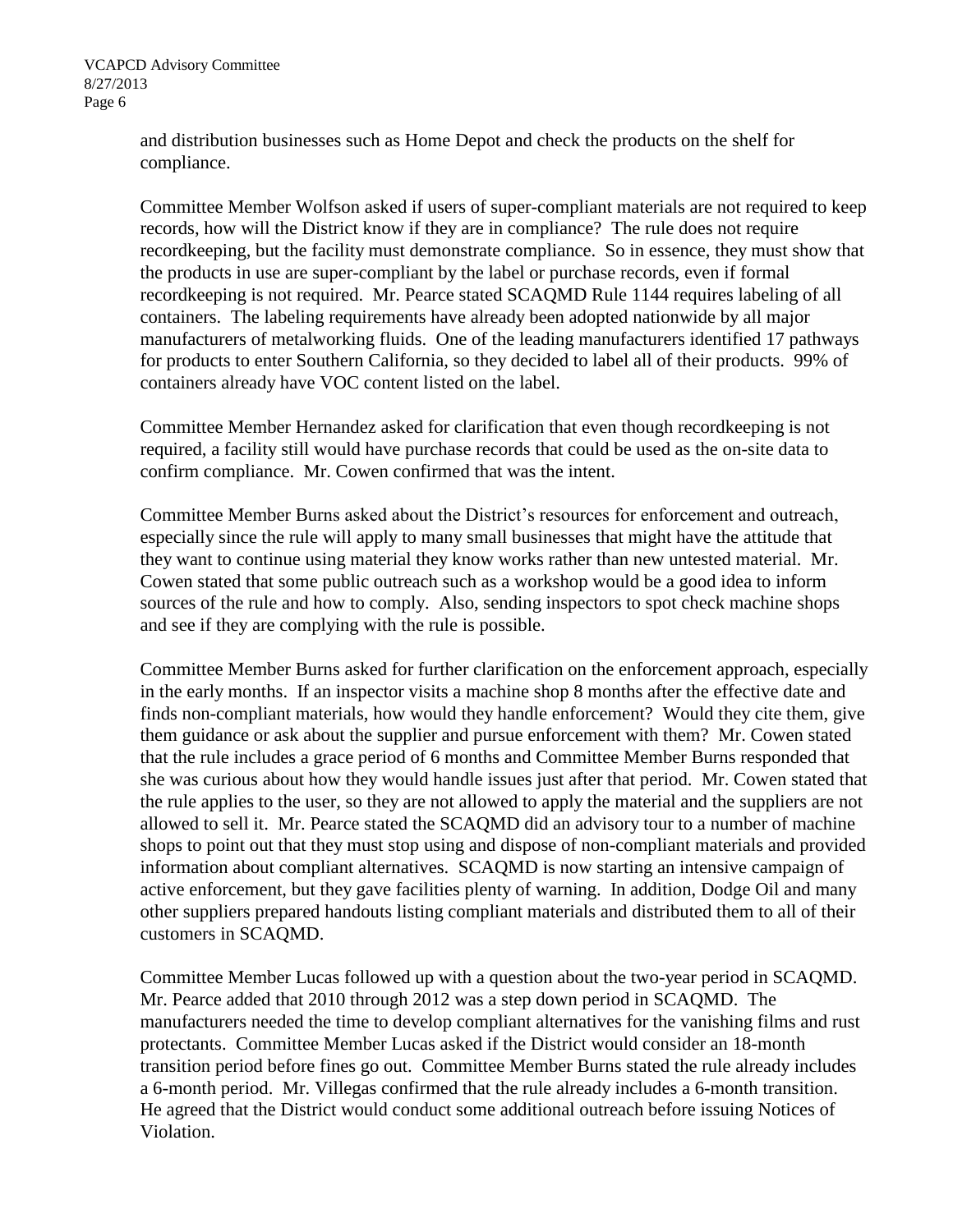and distribution businesses such as Home Depot and check the products on the shelf for compliance.

Committee Member Wolfson asked if users of super-compliant materials are not required to keep records, how will the District know if they are in compliance? The rule does not require recordkeeping, but the facility must demonstrate compliance. So in essence, they must show that the products in use are super-compliant by the label or purchase records, even if formal recordkeeping is not required. Mr. Pearce stated SCAQMD Rule 1144 requires labeling of all containers. The labeling requirements have already been adopted nationwide by all major manufacturers of metalworking fluids. One of the leading manufacturers identified 17 pathways for products to enter Southern California, so they decided to label all of their products. 99% of containers already have VOC content listed on the label.

Committee Member Hernandez asked for clarification that even though recordkeeping is not required, a facility still would have purchase records that could be used as the on-site data to confirm compliance. Mr. Cowen confirmed that was the intent.

Committee Member Burns asked about the District's resources for enforcement and outreach, especially since the rule will apply to many small businesses that might have the attitude that they want to continue using material they know works rather than new untested material. Mr. Cowen stated that some public outreach such as a workshop would be a good idea to inform sources of the rule and how to comply. Also, sending inspectors to spot check machine shops and see if they are complying with the rule is possible.

Committee Member Burns asked for further clarification on the enforcement approach, especially in the early months. If an inspector visits a machine shop 8 months after the effective date and finds non-compliant materials, how would they handle enforcement? Would they cite them, give them guidance or ask about the supplier and pursue enforcement with them? Mr. Cowen stated that the rule includes a grace period of 6 months and Committee Member Burns responded that she was curious about how they would handle issues just after that period. Mr. Cowen stated that the rule applies to the user, so they are not allowed to apply the material and the suppliers are not allowed to sell it. Mr. Pearce stated the SCAQMD did an advisory tour to a number of machine shops to point out that they must stop using and dispose of non-compliant materials and provided information about compliant alternatives. SCAQMD is now starting an intensive campaign of active enforcement, but they gave facilities plenty of warning. In addition, Dodge Oil and many other suppliers prepared handouts listing compliant materials and distributed them to all of their customers in SCAQMD.

Committee Member Lucas followed up with a question about the two-year period in SCAQMD. Mr. Pearce added that 2010 through 2012 was a step down period in SCAQMD. The manufacturers needed the time to develop compliant alternatives for the vanishing films and rust protectants. Committee Member Lucas asked if the District would consider an 18-month transition period before fines go out. Committee Member Burns stated the rule already includes a 6-month period. Mr. Villegas confirmed that the rule already includes a 6-month transition. He agreed that the District would conduct some additional outreach before issuing Notices of Violation.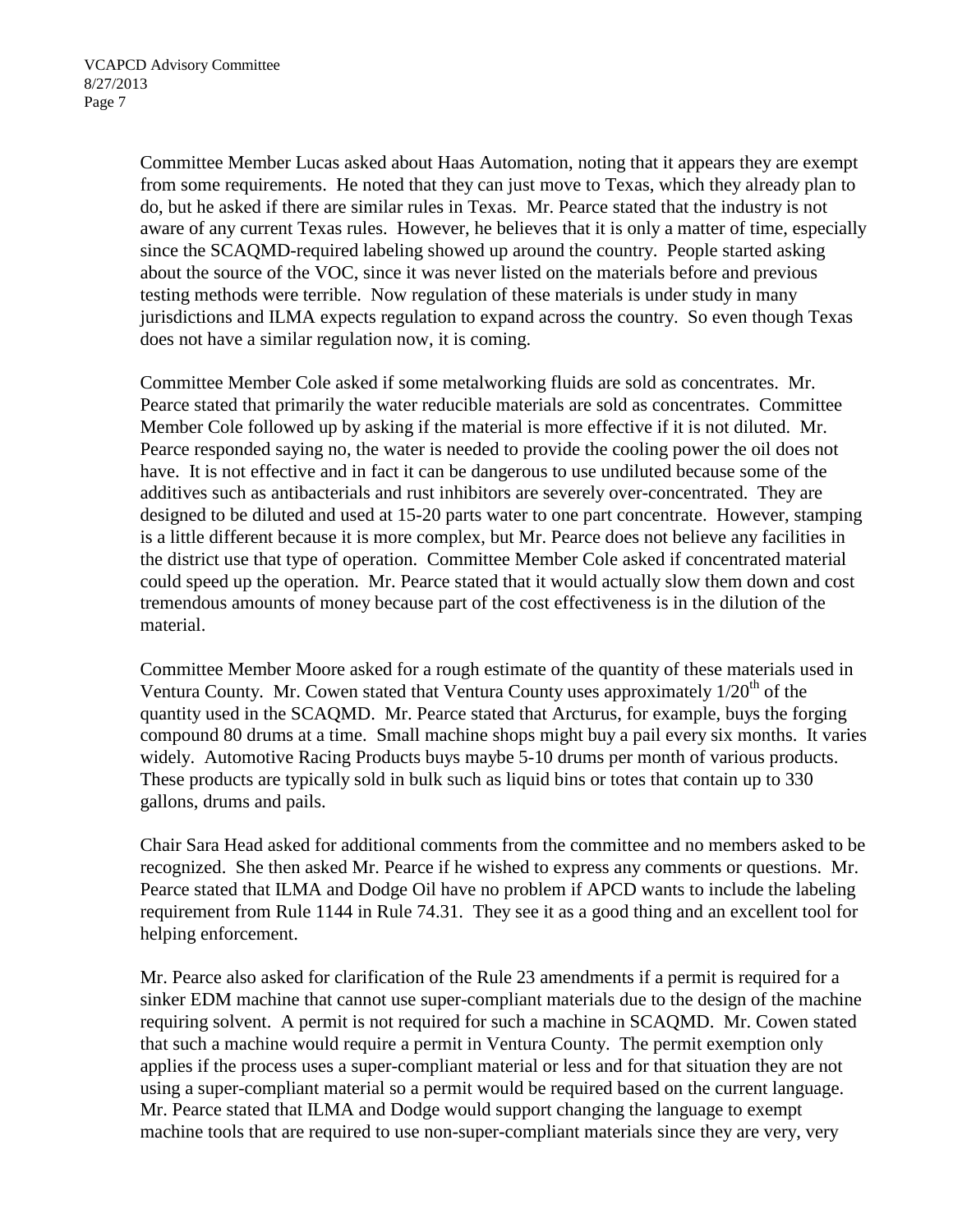Committee Member Lucas asked about Haas Automation, noting that it appears they are exempt from some requirements. He noted that they can just move to Texas, which they already plan to do, but he asked if there are similar rules in Texas. Mr. Pearce stated that the industry is not aware of any current Texas rules. However, he believes that it is only a matter of time, especially since the SCAQMD-required labeling showed up around the country. People started asking about the source of the VOC, since it was never listed on the materials before and previous testing methods were terrible. Now regulation of these materials is under study in many jurisdictions and ILMA expects regulation to expand across the country. So even though Texas does not have a similar regulation now, it is coming.

Committee Member Cole asked if some metalworking fluids are sold as concentrates. Mr. Pearce stated that primarily the water reducible materials are sold as concentrates. Committee Member Cole followed up by asking if the material is more effective if it is not diluted. Mr. Pearce responded saying no, the water is needed to provide the cooling power the oil does not have. It is not effective and in fact it can be dangerous to use undiluted because some of the additives such as antibacterials and rust inhibitors are severely over-concentrated. They are designed to be diluted and used at 15-20 parts water to one part concentrate. However, stamping is a little different because it is more complex, but Mr. Pearce does not believe any facilities in the district use that type of operation. Committee Member Cole asked if concentrated material could speed up the operation. Mr. Pearce stated that it would actually slow them down and cost tremendous amounts of money because part of the cost effectiveness is in the dilution of the material.

Committee Member Moore asked for a rough estimate of the quantity of these materials used in Ventura County. Mr. Cowen stated that Ventura County uses approximately  $1/20^{th}$  of the quantity used in the SCAQMD. Mr. Pearce stated that Arcturus, for example, buys the forging compound 80 drums at a time. Small machine shops might buy a pail every six months. It varies widely. Automotive Racing Products buys maybe 5-10 drums per month of various products. These products are typically sold in bulk such as liquid bins or totes that contain up to 330 gallons, drums and pails.

Chair Sara Head asked for additional comments from the committee and no members asked to be recognized. She then asked Mr. Pearce if he wished to express any comments or questions. Mr. Pearce stated that ILMA and Dodge Oil have no problem if APCD wants to include the labeling requirement from Rule 1144 in Rule 74.31. They see it as a good thing and an excellent tool for helping enforcement.

Mr. Pearce also asked for clarification of the Rule 23 amendments if a permit is required for a sinker EDM machine that cannot use super-compliant materials due to the design of the machine requiring solvent. A permit is not required for such a machine in SCAQMD. Mr. Cowen stated that such a machine would require a permit in Ventura County. The permit exemption only applies if the process uses a super-compliant material or less and for that situation they are not using a super-compliant material so a permit would be required based on the current language. Mr. Pearce stated that ILMA and Dodge would support changing the language to exempt machine tools that are required to use non-super-compliant materials since they are very, very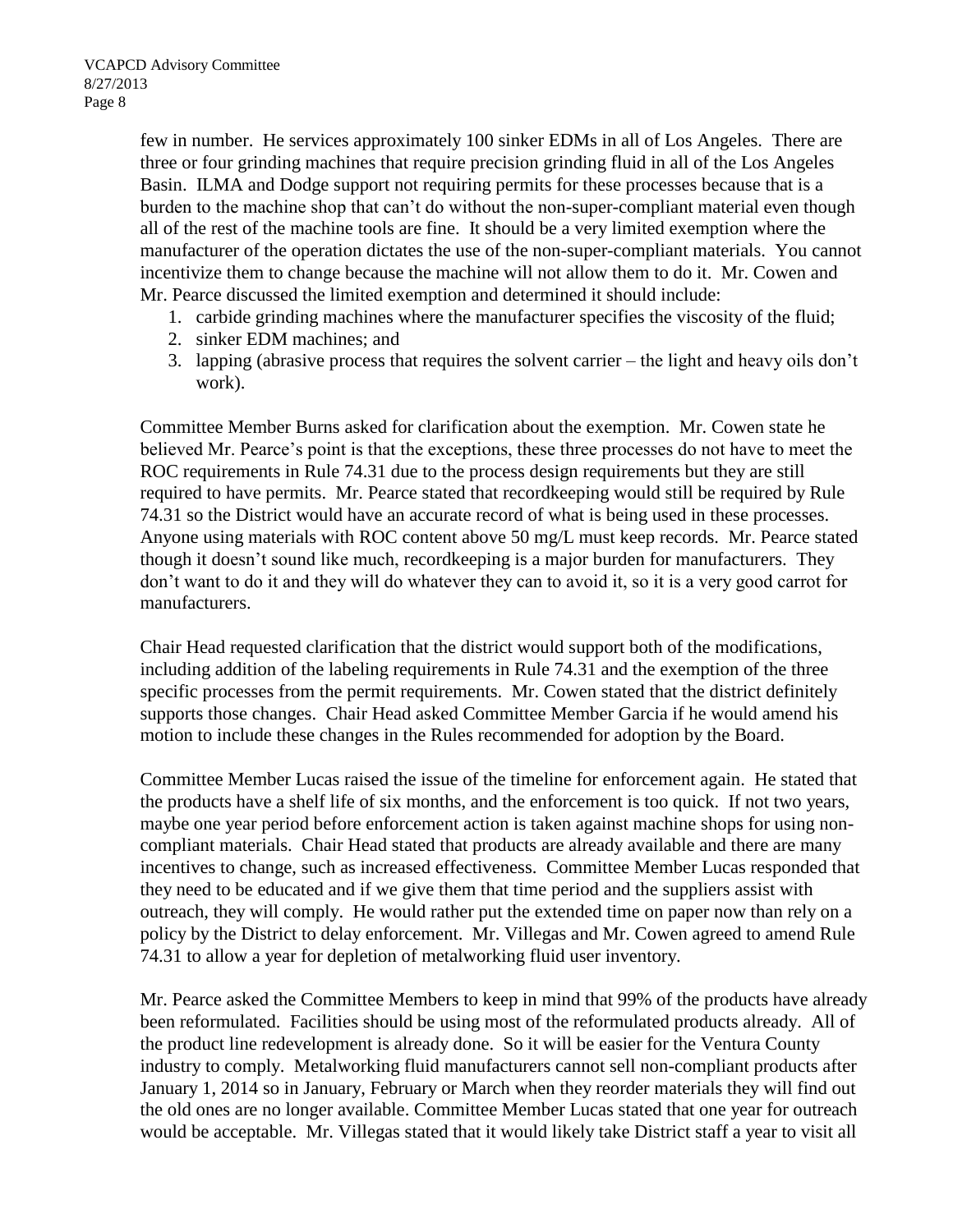few in number. He services approximately 100 sinker EDMs in all of Los Angeles. There are three or four grinding machines that require precision grinding fluid in all of the Los Angeles Basin. ILMA and Dodge support not requiring permits for these processes because that is a burden to the machine shop that can't do without the non-super-compliant material even though all of the rest of the machine tools are fine. It should be a very limited exemption where the manufacturer of the operation dictates the use of the non-super-compliant materials. You cannot incentivize them to change because the machine will not allow them to do it. Mr. Cowen and Mr. Pearce discussed the limited exemption and determined it should include:

- 1. carbide grinding machines where the manufacturer specifies the viscosity of the fluid;
- 2. sinker EDM machines; and
- 3. lapping (abrasive process that requires the solvent carrier the light and heavy oils don't work).

Committee Member Burns asked for clarification about the exemption. Mr. Cowen state he believed Mr. Pearce's point is that the exceptions, these three processes do not have to meet the ROC requirements in Rule 74.31 due to the process design requirements but they are still required to have permits. Mr. Pearce stated that recordkeeping would still be required by Rule 74.31 so the District would have an accurate record of what is being used in these processes. Anyone using materials with ROC content above 50 mg/L must keep records. Mr. Pearce stated though it doesn't sound like much, recordkeeping is a major burden for manufacturers. They don't want to do it and they will do whatever they can to avoid it, so it is a very good carrot for manufacturers.

Chair Head requested clarification that the district would support both of the modifications, including addition of the labeling requirements in Rule 74.31 and the exemption of the three specific processes from the permit requirements. Mr. Cowen stated that the district definitely supports those changes. Chair Head asked Committee Member Garcia if he would amend his motion to include these changes in the Rules recommended for adoption by the Board.

Committee Member Lucas raised the issue of the timeline for enforcement again. He stated that the products have a shelf life of six months, and the enforcement is too quick. If not two years, maybe one year period before enforcement action is taken against machine shops for using noncompliant materials. Chair Head stated that products are already available and there are many incentives to change, such as increased effectiveness. Committee Member Lucas responded that they need to be educated and if we give them that time period and the suppliers assist with outreach, they will comply. He would rather put the extended time on paper now than rely on a policy by the District to delay enforcement. Mr. Villegas and Mr. Cowen agreed to amend Rule 74.31 to allow a year for depletion of metalworking fluid user inventory.

Mr. Pearce asked the Committee Members to keep in mind that 99% of the products have already been reformulated. Facilities should be using most of the reformulated products already. All of the product line redevelopment is already done. So it will be easier for the Ventura County industry to comply. Metalworking fluid manufacturers cannot sell non-compliant products after January 1, 2014 so in January, February or March when they reorder materials they will find out the old ones are no longer available. Committee Member Lucas stated that one year for outreach would be acceptable. Mr. Villegas stated that it would likely take District staff a year to visit all